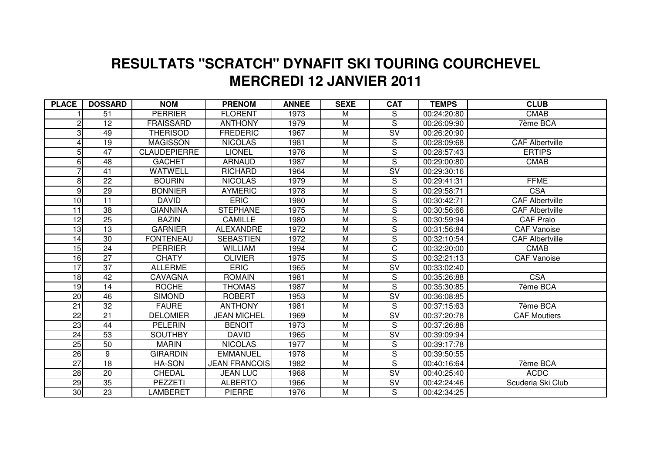## **MERCREDI 12 JANVIER 2011 RESULTATS "SCRATCH" DYNAFIT SKI TOURING COURCHEVEL**

| <b>PLACE</b>          | <b>DOSSARD</b>  | <b>NOM</b>          | <b>PRENOM</b>        | <b>ANNEE</b> | <b>SEXE</b>    | <b>CAT</b>                        | <b>TEMPS</b> | <b>CLUB</b>            |
|-----------------------|-----------------|---------------------|----------------------|--------------|----------------|-----------------------------------|--------------|------------------------|
|                       | 51              | <b>PERRIER</b>      | <b>FLORENT</b>       | 1973         | M              | S                                 | 00:24:20:80  | <b>CMAB</b>            |
| $\mathbf{2}^{\prime}$ | 12              | <b>FRAISSARD</b>    | <b>ANTHONY</b>       | 1979         | M              | S                                 | 00:26:09:90  | 7ème BCA               |
| 3                     | 49              | <b>THERISOD</b>     | <b>FREDERIC</b>      | 1967         | M              | SV                                | 00:26:20:90  |                        |
|                       | 19              | <b>MAGISSON</b>     | <b>NICOLAS</b>       | 1981         | $\overline{M}$ | S                                 | 00:28:09:68  | <b>CAF Albertville</b> |
| 5                     | 47              | <b>CLAUDEPIERRE</b> | <b>LIONEL</b>        | 1976         | M              | S                                 | 00:28:57:43  | <b>ERTIPS</b>          |
| 6                     | 48              | <b>GACHET</b>       | <b>ARNAUD</b>        | 1987         | M              | S                                 | 00:29:00:80  | <b>CMAB</b>            |
|                       | 41              | <b>WATWELL</b>      | <b>RICHARD</b>       | 1964         | $\overline{M}$ | $\overline{\text{SV}}$            | 00:29:30:16  |                        |
| 8                     | 22              | <b>BOURIN</b>       | <b>NICOLAS</b>       | 1979         | M              | S                                 | 00:29:41:31  | <b>FFME</b>            |
| 9                     | 29              | <b>BONNIER</b>      | <b>AYMERIC</b>       | 1978         | M              | S                                 | 00:29:58:71  | <b>CSA</b>             |
| 10                    | 11              | <b>DAVID</b>        | <b>ERIC</b>          | 1980         | M              | S                                 | 00:30:42:71  | <b>CAF Albertville</b> |
| 11                    | 38              | <b>GIANNINA</b>     | <b>STEPHANE</b>      | 1975         | M              | S                                 | 00:30:56:66  | <b>CAF Albertville</b> |
| $\overline{12}$       | $\overline{25}$ | <b>BAZIN</b>        | <b>CAMILLE</b>       | 1980         | $\overline{M}$ | S                                 | 00:30:59:94  | <b>CAF Pralo</b>       |
| 13                    | 13              | <b>GARNIER</b>      | <b>ALEXANDRE</b>     | 1972         | M              | S                                 | 00:31:56:84  | <b>CAF Vanoise</b>     |
| 14                    | 30              | <b>FONTENEAU</b>    | <b>SEBASTIEN</b>     | 1972         | M              | S                                 | 00:32:10:54  | <b>CAF Albertville</b> |
| 15                    | 24              | <b>PERRIER</b>      | <b>WILLIAM</b>       | 1994         | M              | $\mathsf{C}$                      | 00:32:20:00  | <b>CMAB</b>            |
| 16                    | 27              | <b>CHATY</b>        | <b>OLIVIER</b>       | 1975         | M              | S                                 | 00:32:21:13  | <b>CAF Vanoise</b>     |
| $\overline{17}$       | $\overline{37}$ | <b>ALLERME</b>      | <b>ERIC</b>          | 1965         | $\overline{M}$ | $\overline{\text{SV}}$            | 00:33:02:40  |                        |
| 18                    | 42              | <b>CAVAGNA</b>      | <b>ROMAIN</b>        | 1981         | $\overline{M}$ | S                                 | 00:35:26:88  | <b>CSA</b>             |
| 19                    | 14              | <b>ROCHE</b>        | <b>THOMAS</b>        | 1987         | M              | $\overline{\mathsf{s}}$           | 00:35:30:85  | 7ème BCA               |
| 20                    | 46              | <b>SIMOND</b>       | <b>ROBERT</b>        | 1953         | M              | $\overline{\mathsf{S}}\mathsf{V}$ | 00:36:08:85  |                        |
| $\overline{21}$       | $\overline{32}$ | <b>FAURE</b>        | <b>ANTHONY</b>       | 1981         | $\overline{M}$ | S                                 | 00:37:15:63  | 7ème BCA               |
| $\overline{22}$       | $\overline{21}$ | <b>DELOMIER</b>     | <b>JEAN MICHEL</b>   | 1969         | $\overline{M}$ | $\overline{\text{SV}}$            | 00:37:20:78  | <b>CAF Moutiers</b>    |
| 23                    | 44              | <b>PELERIN</b>      | <b>BENOIT</b>        | 1973         | $\overline{M}$ | S                                 | 00:37:26:88  |                        |
| 24                    | 53              | <b>SOUTHBY</b>      | <b>DAVID</b>         | 1965         | M              | $\overline{\text{SV}}$            | 00:39:09:94  |                        |
| 25                    | 50              | <b>MARIN</b>        | <b>NICOLAS</b>       | 1977         | M              | S                                 | 00:39:17:78  |                        |
| 26                    | 9               | <b>GIRARDIN</b>     | <b>EMMANUEL</b>      | 1978         | $\overline{M}$ | S                                 | 00:39:50:55  |                        |
| $\overline{27}$       | $\overline{18}$ | HA-SON              | <b>JEAN FRANCOIS</b> | 1982         | M              | S                                 | 00:40:16:64  | 7ème BCA               |
| $\overline{28}$       | 20              | <b>CHEDAL</b>       | <b>JEAN LUC</b>      | 1968         | M              | $\overline{\mathsf{SV}}$          | 00:40:25:40  | <b>ACDC</b>            |
| 29                    | 35              | <b>PEZZETI</b>      | <b>ALBERTO</b>       | 1966         | M              | SV                                | 00:42:24:46  | Scuderia Ski Club      |
| 30 <sub>o</sub>       | $\overline{23}$ | LAMBERET            | <b>PIERRE</b>        | 1976         | M              | S                                 | 00:42:34:25  |                        |